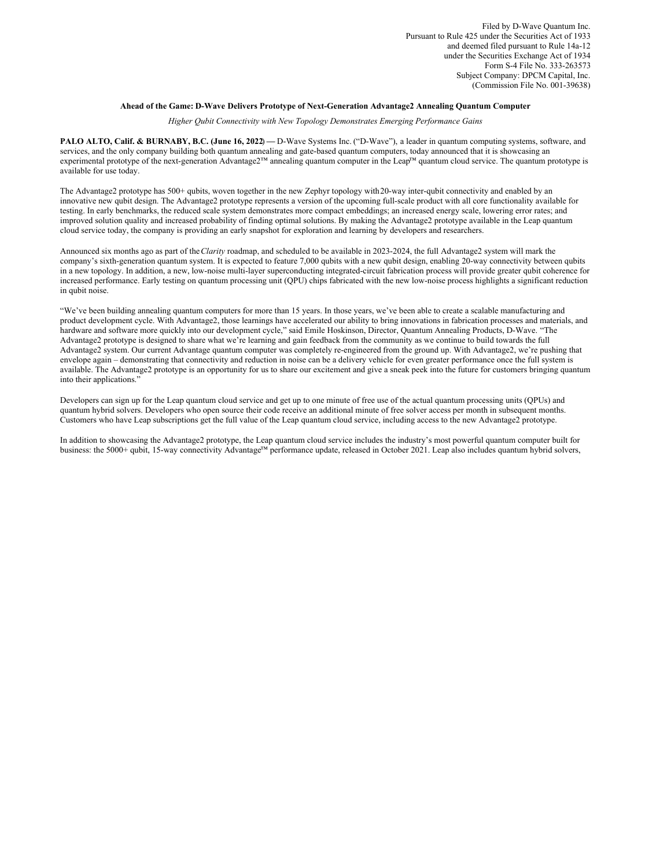# **Ahead of the Game: D-Wave Delivers Prototype of Next-Generation Advantage2 Annealing Quantum Computer**

*Higher Qubit Connectivity with New Topology Demonstrates Emerging Performance Gains*

**PALO ALTO, Calif. & BURNABY, B.C. (June 16, 2022**) **—** D-Wave Systems Inc. ("D-Wave"), a leader in quantum computing systems, software, and services, and the only company building both quantum annealing and gate-based quantum computers, today announced that it is showcasing an experimental prototype of the next-generation Advantage2™ annealing quantum computer in the Leap™ quantum cloud service. The quantum prototype is available for use today.

The Advantage2 prototype has 500+ qubits, woven together in the new Zephyr topology with20-way inter-qubit connectivity and enabled by an innovative new qubit design. The Advantage2 prototype represents a version of the upcoming full-scale product with all core functionality available for testing. In early benchmarks, the reduced scale system demonstrates more compact embeddings; an increased energy scale, lowering error rates; and improved solution quality and increased probability of finding optimal solutions. By making the Advantage2 prototype available in the Leap quantum cloud service today, the company is providing an early snapshot for exploration and learning by developers and researchers.

Announced six months ago as part of the*Clarity* roadmap, and scheduled to be available in 2023-2024, the full Advantage2 system will mark the company's sixth-generation quantum system. It is expected to feature 7,000 qubits with a new qubit design, enabling 20-way connectivity between qubits in a new topology. In addition, a new, low-noise multi-layer superconducting integrated-circuit fabrication process will provide greater qubit coherence for increased performance. Early testing on quantum processing unit (QPU) chips fabricated with the new low-noise process highlights a significant reduction in qubit noise.

"We've been building annealing quantum computers for more than 15 years. In those years, we've been able to create a scalable manufacturing and product development cycle. With Advantage2, those learnings have accelerated our ability to bring innovations in fabrication processes and materials, and hardware and software more quickly into our development cycle," said Emile Hoskinson, Director, Quantum Annealing Products, D-Wave. "The Advantage2 prototype is designed to share what we're learning and gain feedback from the community as we continue to build towards the full Advantage2 system. Our current Advantage quantum computer was completely re-engineered from the ground up. With Advantage2, we're pushing that envelope again – demonstrating that connectivity and reduction in noise can be a delivery vehicle for even greater performance once the full system is available. The Advantage2 prototype is an opportunity for us to share our excitement and give a sneak peek into the future for customers bringing quantum into their applications."

Developers can sign up for the Leap quantum cloud service and get up to one minute of free use of the actual quantum processing units (QPUs) and quantum hybrid solvers. Developers who open source their code receive an additional minute of free solver access per month in subsequent months. Customers who have Leap subscriptions get the full value of the Leap quantum cloud service, including access to the new Advantage2 prototype.

In addition to showcasing the Advantage2 prototype, the Leap quantum cloud service includes the industry's most powerful quantum computer built for business: the 5000+ qubit, 15-way connectivity Advantage™ performance update, released in October 2021. Leap also includes quantum hybrid solvers,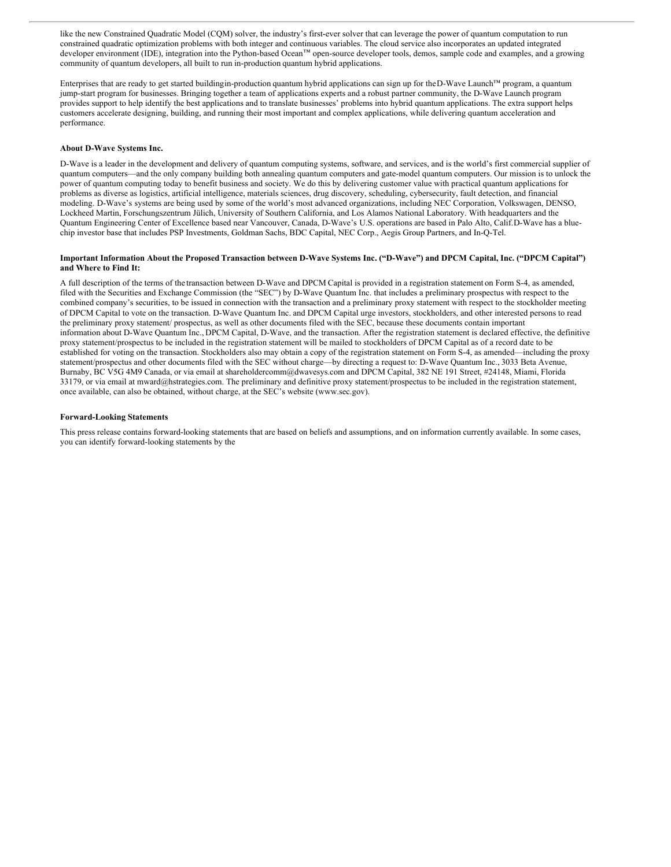like the new Constrained Quadratic Model (CQM) solver, the industry's first-ever solver that can leverage the power of quantum computation to run constrained quadratic optimization problems with both integer and continuous variables. The cloud service also incorporates an updated integrated developer environment (IDE), integration into the Python-based Ocean™ open-source developer tools, demos, sample code and examples, and a growing community of quantum developers, all built to run in-production quantum hybrid applications.

Enterprises that are ready to get started buildingin-production quantum hybrid applications can sign up for theD-Wave Launch™ program, a quantum jump-start program for businesses. Bringing together a team of applications experts and a robust partner community, the D-Wave Launch program provides support to help identify the best applications and to translate businesses' problems into hybrid quantum applications. The extra support helps customers accelerate designing, building, and running their most important and complex applications, while delivering quantum acceleration and performance.

# **About D-Wave Systems Inc.**

D-Wave is a leader in the development and delivery of quantum computing systems, software, and services, and is the world's first commercial supplier of quantum computers—and the only company building both annealing quantum computers and gate-model quantum computers. Our mission is to unlock the power of quantum computing today to benefit business and society. We do this by delivering customer value with practical quantum applications for problems as diverse as logistics, artificial intelligence, materials sciences, drug discovery, scheduling, cybersecurity, fault detection, and financial modeling. D-Wave's systems are being used by some of the world's most advanced organizations, including NEC Corporation, Volkswagen, DENSO, Lockheed Martin, Forschungszentrum Jülich, University of Southern California, and Los Alamos National Laboratory. With headquarters and the Quantum Engineering Center of Excellence based near Vancouver, Canada, D-Wave's U.S. operations are based in Palo Alto, Calif.D-Wave has a bluechip investor base that includes PSP Investments, Goldman Sachs, BDC Capital, NEC Corp., Aegis Group Partners, and In-Q-Tel.

# Important Information About the Proposed Transaction between D-Wave Systems Inc. ("D-Wave") and DPCM Capital, Inc. ("DPCM Capital") **and Where to Find It:**

A full description of the terms of the transaction between D-Wave and DPCM Capital is provided in a registration statement on Form S-4, as amended, filed with the Securities and Exchange Commission (the "SEC") by D-Wave Quantum Inc. that includes a preliminary prospectus with respect to the combined company's securities, to be issued in connection with the transaction and a preliminary proxy statement with respect to the stockholder meeting of DPCM Capital to vote on the transaction. D-Wave Quantum Inc. and DPCM Capital urge investors, stockholders, and other interested persons to read the preliminary proxy statement/ prospectus, as well as other documents filed with the SEC, because these documents contain important information about D-Wave Quantum Inc., DPCM Capital, D-Wave, and the transaction. After the registration statement is declared effective, the definitive proxy statement/prospectus to be included in the registration statement will be mailed to stockholders of DPCM Capital as of a record date to be established for voting on the transaction. Stockholders also may obtain a copy of the registration statement on Form S-4, as amended—including the proxy statement/prospectus and other documents filed with the SEC without charge—by directing a request to: D-Wave Quantum Inc., 3033 Beta Avenue, Burnaby, BC V5G 4M9 Canada, or via email at shareholdercomm@dwavesys.com and DPCM Capital, 382 NE 191 Street, #24148, Miami, Florida 33179, or via email at mward@hstrategies.com. The preliminary and definitive proxy statement/prospectus to be included in the registration statement, once available, can also be obtained, without charge, at the SEC's website (www.sec.gov).

#### **Forward-Looking Statements**

This press release contains forward-looking statements that are based on beliefs and assumptions, and on information currently available. In some cases, you can identify forward-looking statements by the